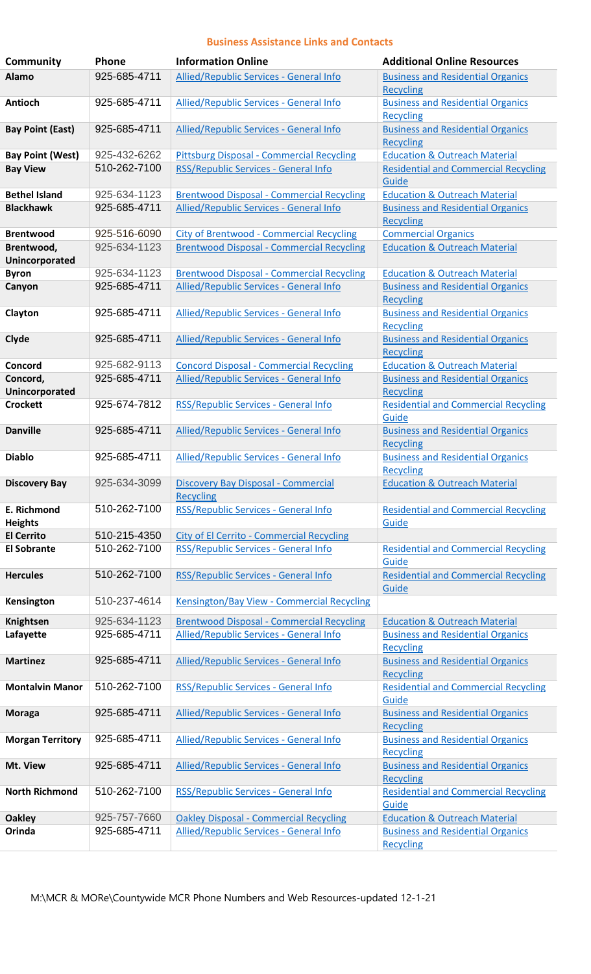## **Business Assistance Links and Contacts**

| <b>Community</b>              | Phone        | <b>Information Online</b>                               | <b>Additional Online Resources</b>                           |
|-------------------------------|--------------|---------------------------------------------------------|--------------------------------------------------------------|
| Alamo                         | 925-685-4711 | Allied/Republic Services - General Info                 | <b>Business and Residential Organics</b>                     |
|                               |              |                                                         | <b>Recycling</b>                                             |
| <b>Antioch</b>                | 925-685-4711 | Allied/Republic Services - General Info                 | <b>Business and Residential Organics</b><br><b>Recycling</b> |
| <b>Bay Point (East)</b>       | 925-685-4711 | Allied/Republic Services - General Info                 | <b>Business and Residential Organics</b><br><b>Recycling</b> |
| <b>Bay Point (West)</b>       | 925-432-6262 | <b>Pittsburg Disposal - Commercial Recycling</b>        | <b>Education &amp; Outreach Material</b>                     |
| <b>Bay View</b>               | 510-262-7100 | RSS/Republic Services - General Info                    | <b>Residential and Commercial Recycling</b><br>Guide         |
| <b>Bethel Island</b>          | 925-634-1123 | <b>Brentwood Disposal - Commercial Recycling</b>        | <b>Education &amp; Outreach Material</b>                     |
| <b>Blackhawk</b>              | 925-685-4711 | Allied/Republic Services - General Info                 | <b>Business and Residential Organics</b><br><b>Recycling</b> |
| <b>Brentwood</b>              | 925-516-6090 | <b>City of Brentwood - Commercial Recycling</b>         | <b>Commercial Organics</b>                                   |
| Brentwood,                    | 925-634-1123 | <b>Brentwood Disposal - Commercial Recycling</b>        | <b>Education &amp; Outreach Material</b>                     |
| Unincorporated                |              |                                                         |                                                              |
| <b>Byron</b>                  | 925-634-1123 | <b>Brentwood Disposal - Commercial Recycling</b>        | <b>Education &amp; Outreach Material</b>                     |
| Canyon                        | 925-685-4711 | Allied/Republic Services - General Info                 | <b>Business and Residential Organics</b><br><b>Recycling</b> |
| Clayton                       | 925-685-4711 | Allied/Republic Services - General Info                 | <b>Business and Residential Organics</b><br><b>Recycling</b> |
| Clyde                         | 925-685-4711 | Allied/Republic Services - General Info                 | <b>Business and Residential Organics</b><br><b>Recycling</b> |
| Concord                       | 925-682-9113 | <b>Concord Disposal - Commercial Recycling</b>          | <b>Education &amp; Outreach Material</b>                     |
| Concord,<br>Unincorporated    | 925-685-4711 | Allied/Republic Services - General Info                 | <b>Business and Residential Organics</b><br><b>Recycling</b> |
| <b>Crockett</b>               | 925-674-7812 | RSS/Republic Services - General Info                    | <b>Residential and Commercial Recycling</b><br>Guide         |
| <b>Danville</b>               | 925-685-4711 | Allied/Republic Services - General Info                 | <b>Business and Residential Organics</b><br><b>Recycling</b> |
| <b>Diablo</b>                 | 925-685-4711 | Allied/Republic Services - General Info                 | <b>Business and Residential Organics</b><br><b>Recycling</b> |
| <b>Discovery Bay</b>          | 925-634-3099 | Discovery Bay Disposal - Commercial<br><b>Recycling</b> | <b>Education &amp; Outreach Material</b>                     |
| E. Richmond<br><b>Heights</b> | 510-262-7100 | RSS/Republic Services - General Info                    | <b>Residential and Commercial Recycling</b><br>Guide         |
| <b>El Cerrito</b>             | 510-215-4350 | <b>City of El Cerrito - Commercial Recycling</b>        |                                                              |
| <b>El Sobrante</b>            | 510-262-7100 | RSS/Republic Services - General Info                    | <b>Residential and Commercial Recycling</b><br>Guide         |
| <b>Hercules</b>               | 510-262-7100 | RSS/Republic Services - General Info                    | <b>Residential and Commercial Recycling</b><br>Guide         |
| Kensington                    | 510-237-4614 | Kensington/Bay View - Commercial Recycling              |                                                              |
| Knightsen                     | 925-634-1123 | <b>Brentwood Disposal - Commercial Recycling</b>        | <b>Education &amp; Outreach Material</b>                     |
| Lafayette                     | 925-685-4711 | Allied/Republic Services - General Info                 | <b>Business and Residential Organics</b><br><b>Recycling</b> |
| <b>Martinez</b>               | 925-685-4711 | Allied/Republic Services - General Info                 | <b>Business and Residential Organics</b><br><b>Recycling</b> |
| <b>Montalvin Manor</b>        | 510-262-7100 | RSS/Republic Services - General Info                    | <b>Residential and Commercial Recycling</b><br>Guide         |
| <b>Moraga</b>                 | 925-685-4711 | Allied/Republic Services - General Info                 | <b>Business and Residential Organics</b><br><b>Recycling</b> |
| <b>Morgan Territory</b>       | 925-685-4711 | Allied/Republic Services - General Info                 | <b>Business and Residential Organics</b><br><b>Recycling</b> |
| Mt. View                      | 925-685-4711 | Allied/Republic Services - General Info                 | <b>Business and Residential Organics</b><br><b>Recycling</b> |
| <b>North Richmond</b>         | 510-262-7100 | RSS/Republic Services - General Info                    | <b>Residential and Commercial Recycling</b><br>Guide         |
| <b>Oakley</b>                 | 925-757-7660 | <b>Oakley Disposal - Commercial Recycling</b>           | <b>Education &amp; Outreach Material</b>                     |
| Orinda                        | 925-685-4711 | Allied/Republic Services - General Info                 | <b>Business and Residential Organics</b>                     |
|                               |              |                                                         | <b>Recycling</b>                                             |